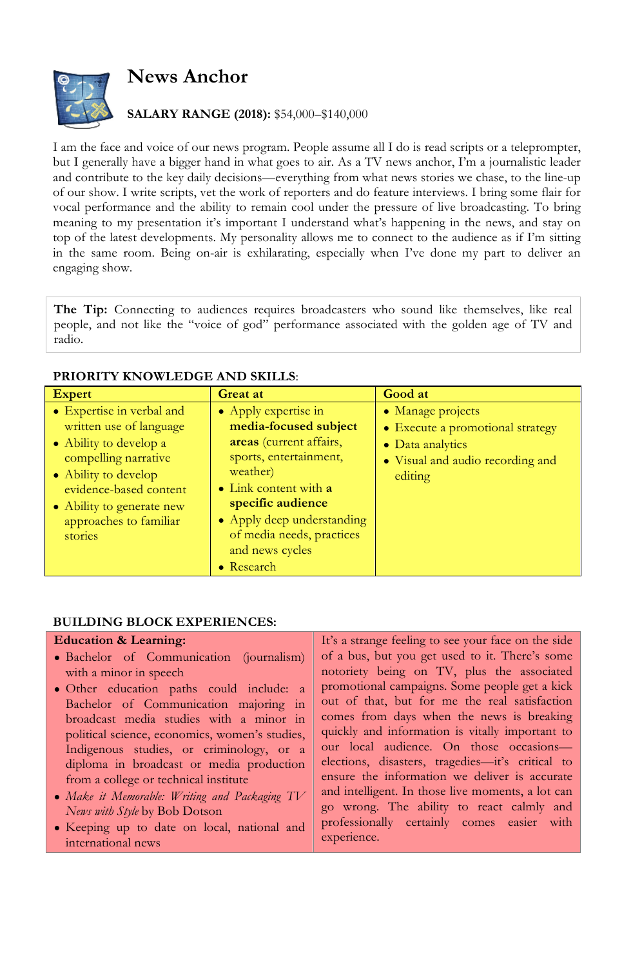

# **News Anchor**

## **SALARY RANGE (2018):** \$54,000–\$140,000

I am the face and voice of our news program. People assume all I do is read scripts or a teleprompter, but I generally have a bigger hand in what goes to air. As a TV news anchor, I'm a journalistic leader and contribute to the key daily decisions—everything from what news stories we chase, to the line-up of our show. I write scripts, vet the work of reporters and do feature interviews. I bring some flair for vocal performance and the ability to remain cool under the pressure of live broadcasting. To bring meaning to my presentation it's important I understand what's happening in the news, and stay on top of the latest developments. My personality allows me to connect to the audience as if I'm sitting in the same room. Being on-air is exhilarating, especially when I've done my part to deliver an engaging show.

**The Tip:** Connecting to audiences requires broadcasters who sound like themselves, like real people, and not like the "voice of god" performance associated with the golden age of TV and radio.

### **PRIORITY KNOWLEDGE AND SKILLS**:

| <b>Expert</b>                                                                                                                                                                                                              | <b>Great at</b>                                                                                                                                                                                                                                          | Good at                                                                                                                  |
|----------------------------------------------------------------------------------------------------------------------------------------------------------------------------------------------------------------------------|----------------------------------------------------------------------------------------------------------------------------------------------------------------------------------------------------------------------------------------------------------|--------------------------------------------------------------------------------------------------------------------------|
| • Expertise in verbal and<br>written use of language<br>• Ability to develop a<br>compelling narrative<br>• Ability to develop<br>evidence-based content<br>• Ability to generate new<br>approaches to familiar<br>stories | • Apply expertise in<br>media-focused subject<br>areas (current affairs,<br>sports, entertainment,<br>weather)<br>• Link content with a<br>specific audience<br>• Apply deep understanding<br>of media needs, practices<br>and news cycles<br>• Research | • Manage projects<br>• Execute a promotional strategy<br>• Data analytics<br>• Visual and audio recording and<br>editing |

#### **BUILDING BLOCK EXPERIENCES:**

#### **Education & Learning:**

- Bachelor of Communication (journalism) with a minor in speech
- Other education paths could include: a Bachelor of Communication majoring in broadcast media studies with a minor in political science, economics, women's studies, Indigenous studies, or criminology, or a diploma in broadcast or media production from a college or technical institute
- *Make it Memorable: Writing and Packaging TV News with Style* by Bob Dotson
- Keeping up to date on local, national and international news

It's a strange feeling to see your face on the side of a bus, but you get used to it. There's some notoriety being on TV, plus the associated promotional campaigns. Some people get a kick out of that, but for me the real satisfaction comes from days when the news is breaking quickly and information is vitally important to our local audience. On those occasions elections, disasters, tragedies—it's critical to ensure the information we deliver is accurate and intelligent. In those live moments, a lot can go wrong. The ability to react calmly and professionally certainly comes easier with experience.